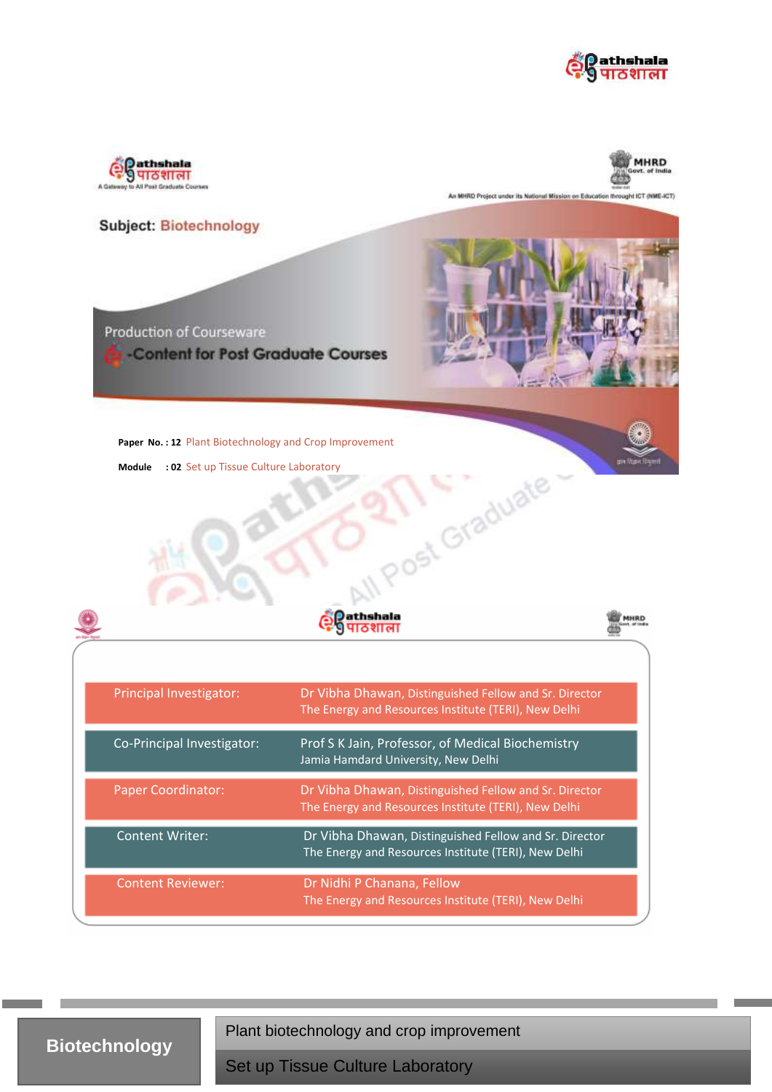





An MHRD Project under its National Mission on Education throught ICT (NME-ICT)



**Biotechnology**

Plant biotechnology and crop improvement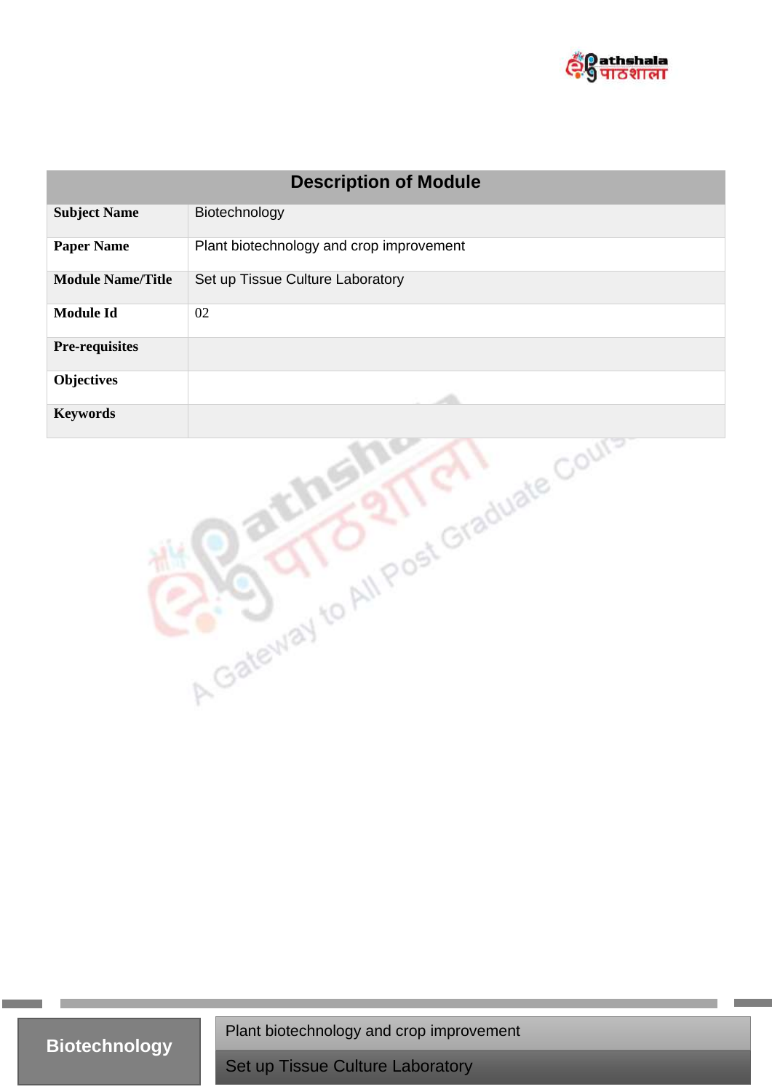

| <b>Description of Module</b> |                                          |  |
|------------------------------|------------------------------------------|--|
| <b>Subject Name</b>          | Biotechnology                            |  |
| <b>Paper Name</b>            | Plant biotechnology and crop improvement |  |
| <b>Module Name/Title</b>     | Set up Tissue Culture Laboratory         |  |
| <b>Module Id</b>             | 02                                       |  |
| <b>Pre-requisites</b>        |                                          |  |
| <b>Objectives</b>            |                                          |  |
| <b>Keywords</b>              |                                          |  |
|                              | A Gateway to All Post Graduate Court     |  |

**Biotechnology**

Plant biotechnology and crop improvement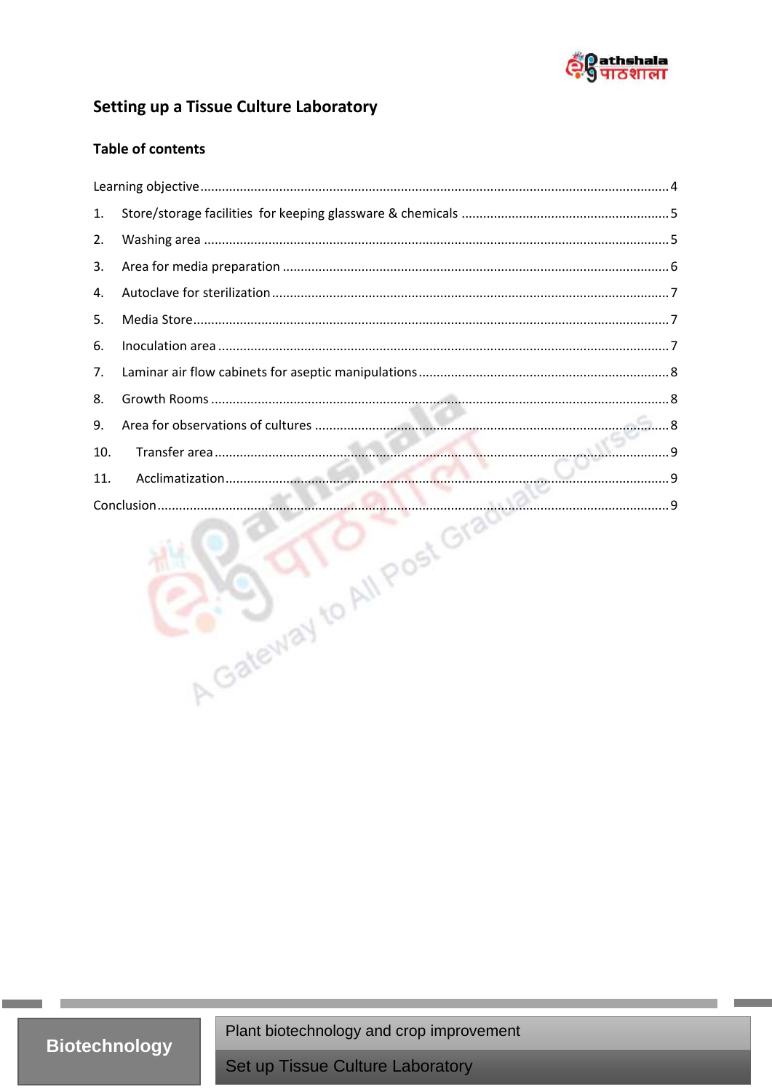

## Setting up a Tissue Culture Laboratory

#### **Table of contents**

| 1.  |                            |  |
|-----|----------------------------|--|
|     |                            |  |
| 2.  |                            |  |
| 3.  |                            |  |
| 4.  |                            |  |
| 5.  |                            |  |
| 6.  |                            |  |
| 7.  |                            |  |
| 8.  |                            |  |
| 9.  |                            |  |
| 10. |                            |  |
| 11. |                            |  |
|     |                            |  |
|     | A Gateway to All Post Grad |  |

**Biotechnology** 

Plant biotechnology and crop improvement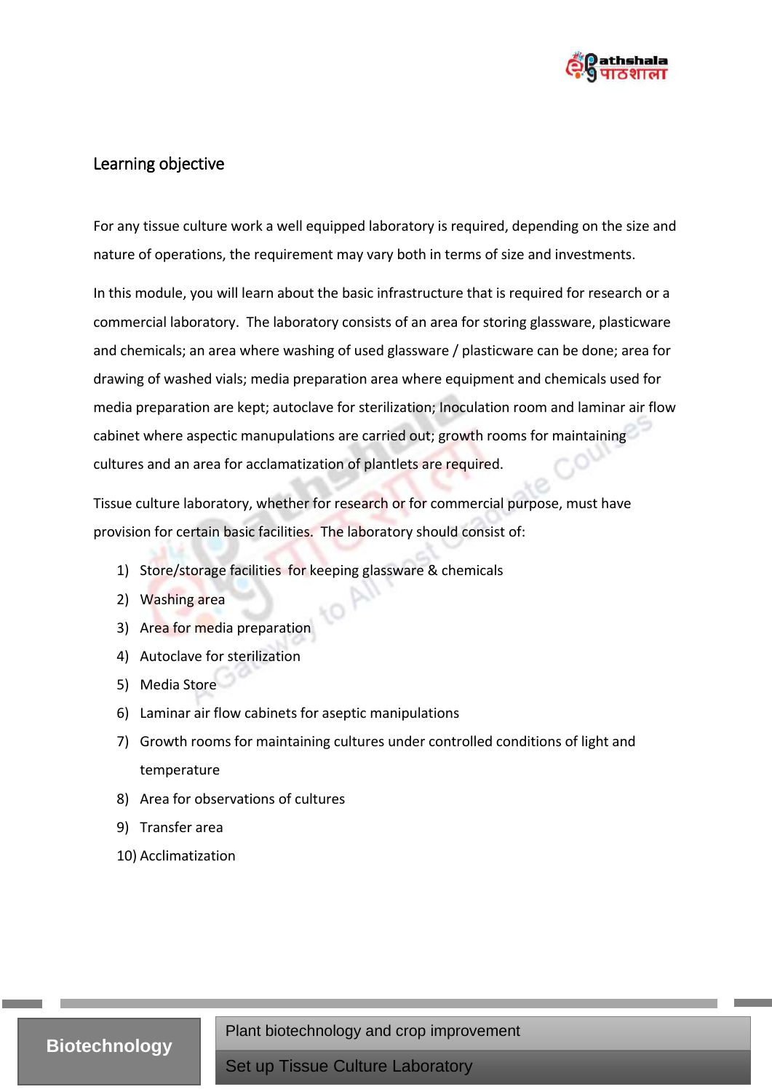

## <span id="page-3-0"></span>Learning objective

For any tissue culture work a well equipped laboratory is required, depending on the size and nature of operations, the requirement may vary both in terms of size and investments.

In this module, you will learn about the basic infrastructure that is required for research or a commercial laboratory. The laboratory consists of an area for storing glassware, plasticware and chemicals; an area where washing of used glassware / plasticware can be done; area for drawing of washed vials; media preparation area where equipment and chemicals used for media preparation are kept; autoclave for sterilization; Inoculation room and laminar air flow cabinet where aspectic manupulations are carried out; growth rooms for maintaining cultures and an area for acclamatization of plantlets are required.

Tissue culture laboratory, whether for research or for commercial purpose, must have provision for certain basic facilities. The laboratory should consist of:

- 1) Store/storage facilities for keeping glassware & chemicals
- 2) Washing area
- 3) Area for media preparation
- 4) Autoclave for sterilization
- 5) Media Store
- 6) Laminar air flow cabinets for aseptic manipulations
- 7) Growth rooms for maintaining cultures under controlled conditions of light and temperature
- 8) Area for observations of cultures
- 9) Transfer area
- 10) Acclimatization

# **Biotechnology**

Plant biotechnology and crop improvement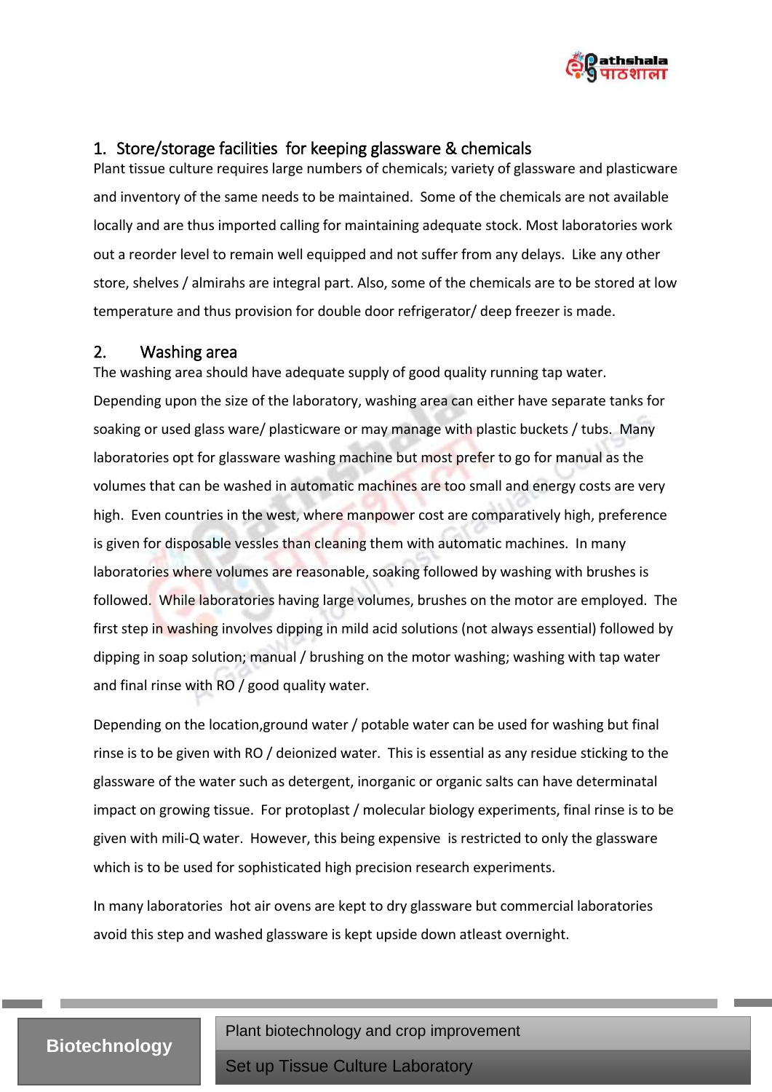

# <span id="page-4-0"></span>1. Store/storage facilities for keeping glassware & chemicals

Plant tissue culture requires large numbers of chemicals; variety of glassware and plasticware and inventory of the same needs to be maintained. Some of the chemicals are not available locally and are thus imported calling for maintaining adequate stock. Most laboratories work out a reorder level to remain well equipped and not suffer from any delays. Like any other store, shelves / almirahs are integral part. Also, some of the chemicals are to be stored at low temperature and thus provision for double door refrigerator/ deep freezer is made.

## <span id="page-4-1"></span>2. Washing area

The washing area should have adequate supply of good quality running tap water. Depending upon the size of the laboratory, washing area can either have separate tanks for soaking or used glass ware/ plasticware or may manage with plastic buckets / tubs. Many laboratories opt for glassware washing machine but most prefer to go for manual as the volumes that can be washed in automatic machines are too small and energy costs are very high. Even countries in the west, where manpower cost are comparatively high, preference is given for disposable vessles than cleaning them with automatic machines. In many laboratories where volumes are reasonable, soaking followed by washing with brushes is followed. While laboratories having large volumes, brushes on the motor are employed. The first step in washing involves dipping in mild acid solutions (not always essential) followed by dipping in soap solution; manual / brushing on the motor washing; washing with tap water and final rinse with RO / good quality water.

Depending on the location,ground water / potable water can be used for washing but final rinse is to be given with RO / deionized water. This is essential as any residue sticking to the glassware of the water such as detergent, inorganic or organic salts can have determinatal impact on growing tissue. For protoplast / molecular biology experiments, final rinse is to be given with mili-Q water. However, this being expensive is restricted to only the glassware which is to be used for sophisticated high precision research experiments.

In many laboratories hot air ovens are kept to dry glassware but commercial laboratories avoid this step and washed glassware is kept upside down atleast overnight.

## **Biotechnology**

Plant biotechnology and crop improvement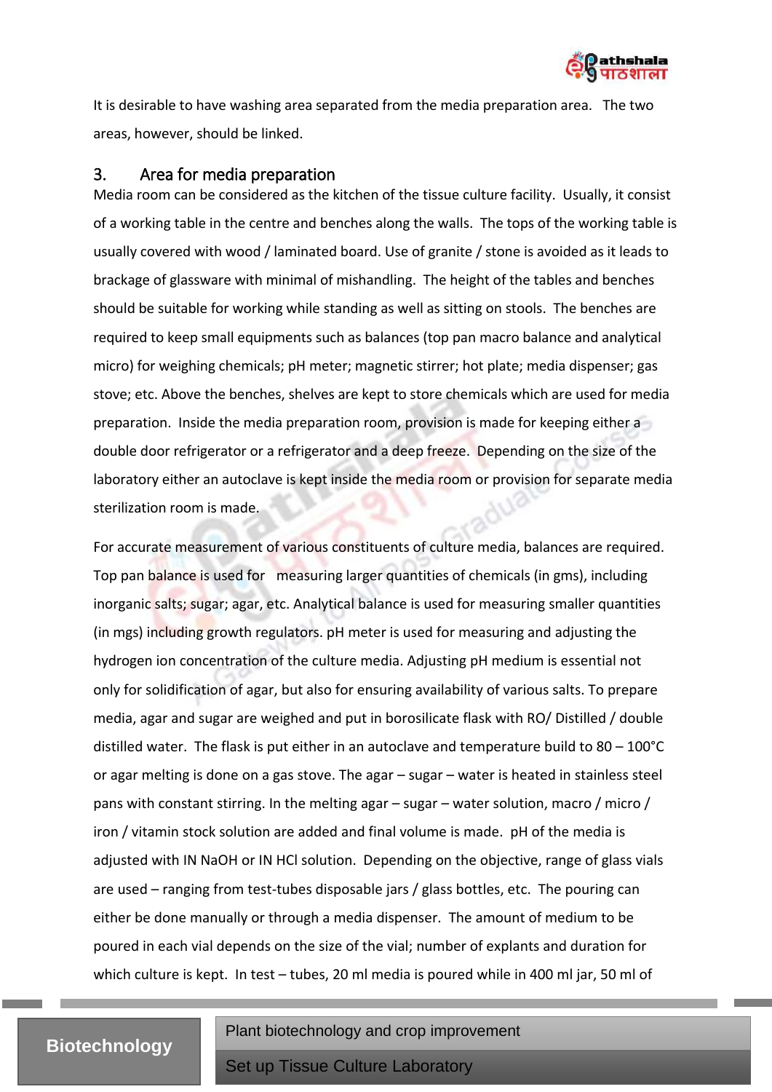

It is desirable to have washing area separated from the media preparation area. The two areas, however, should be linked.

#### <span id="page-5-0"></span>3. Area for media preparation

Media room can be considered as the kitchen of the tissue culture facility. Usually, it consist of a working table in the centre and benches along the walls. The tops of the working table is usually covered with wood / laminated board. Use of granite / stone is avoided as it leads to brackage of glassware with minimal of mishandling. The height of the tables and benches should be suitable for working while standing as well as sitting on stools. The benches are required to keep small equipments such as balances (top pan macro balance and analytical micro) for weighing chemicals; pH meter; magnetic stirrer; hot plate; media dispenser; gas stove; etc. Above the benches, shelves are kept to store chemicals which are used for media preparation. Inside the media preparation room, provision is made for keeping either a double door refrigerator or a refrigerator and a deep freeze. Depending on the size of the laboratory either an autoclave is kept inside the media room or provision for separate media sterilization room is made.

For accurate measurement of various constituents of culture media, balances are required. Top pan balance is used for measuring larger quantities of chemicals (in gms), including inorganic salts; sugar; agar, etc. Analytical balance is used for measuring smaller quantities (in mgs) including growth regulators. pH meter is used for measuring and adjusting the hydrogen ion concentration of the culture media. Adjusting pH medium is essential not only for solidification of agar, but also for ensuring availability of various salts. To prepare media, agar and sugar are weighed and put in borosilicate flask with RO/ Distilled / double distilled water. The flask is put either in an autoclave and temperature build to  $80 - 100^{\circ}$ C or agar melting is done on a gas stove. The agar – sugar – water is heated in stainless steel pans with constant stirring. In the melting agar – sugar – water solution, macro / micro / iron / vitamin stock solution are added and final volume is made. pH of the media is adjusted with IN NaOH or IN HCl solution. Depending on the objective, range of glass vials are used – ranging from test-tubes disposable jars / glass bottles, etc. The pouring can either be done manually or through a media dispenser. The amount of medium to be poured in each vial depends on the size of the vial; number of explants and duration for which culture is kept. In test – tubes, 20 ml media is poured while in 400 ml jar, 50 ml of

## **Biotechnology**

Plant biotechnology and crop improvement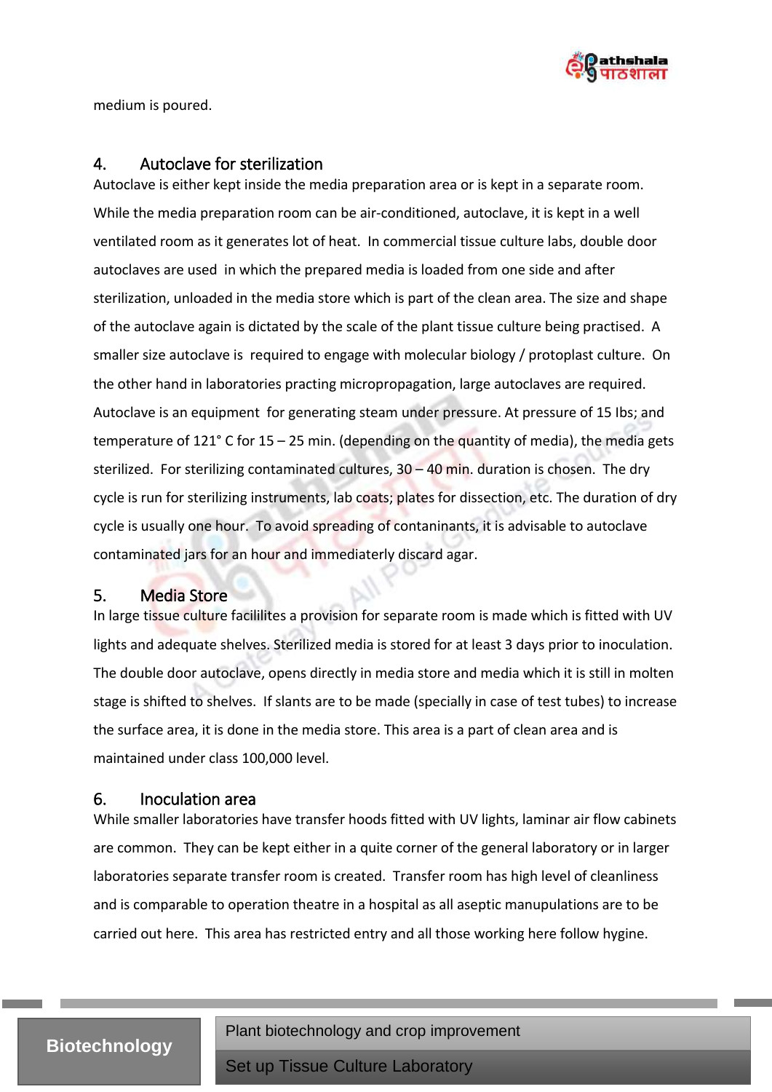

medium is poured.

#### <span id="page-6-0"></span>4. Autoclave for sterilization

Autoclave is either kept inside the media preparation area or is kept in a separate room. While the media preparation room can be air-conditioned, autoclave, it is kept in a well ventilated room as it generates lot of heat. In commercial tissue culture labs, double door autoclaves are used in which the prepared media is loaded from one side and after sterilization, unloaded in the media store which is part of the clean area. The size and shape of the autoclave again is dictated by the scale of the plant tissue culture being practised. A smaller size autoclave is required to engage with molecular biology / protoplast culture. On the other hand in laboratories practing micropropagation, large autoclaves are required. Autoclave is an equipment for generating steam under pressure. At pressure of 15 Ibs; and temperature of 121 $^{\circ}$  C for 15 – 25 min. (depending on the quantity of media), the media gets sterilized. For sterilizing contaminated cultures,  $30 - 40$  min. duration is chosen. The dry cycle is run for sterilizing instruments, lab coats; plates for dissection, etc. The duration of dry cycle is usually one hour. To avoid spreading of contaninants, it is advisable to autoclave contaminated jars for an hour and immediaterly discard agar.

#### <span id="page-6-1"></span>5. Media Store

In large tissue culture facililites a provision for separate room is made which is fitted with UV lights and adequate shelves. Sterilized media is stored for at least 3 days prior to inoculation. The double door autoclave, opens directly in media store and media which it is still in molten stage is shifted to shelves. If slants are to be made (specially in case of test tubes) to increase the surface area, it is done in the media store. This area is a part of clean area and is maintained under class 100,000 level.

#### <span id="page-6-2"></span>6. Inoculation area

While smaller laboratories have transfer hoods fitted with UV lights, laminar air flow cabinets are common. They can be kept either in a quite corner of the general laboratory or in larger laboratories separate transfer room is created. Transfer room has high level of cleanliness and is comparable to operation theatre in a hospital as all aseptic manupulations are to be carried out here. This area has restricted entry and all those working here follow hygine.

## **Biotechnology**

Plant biotechnology and crop improvement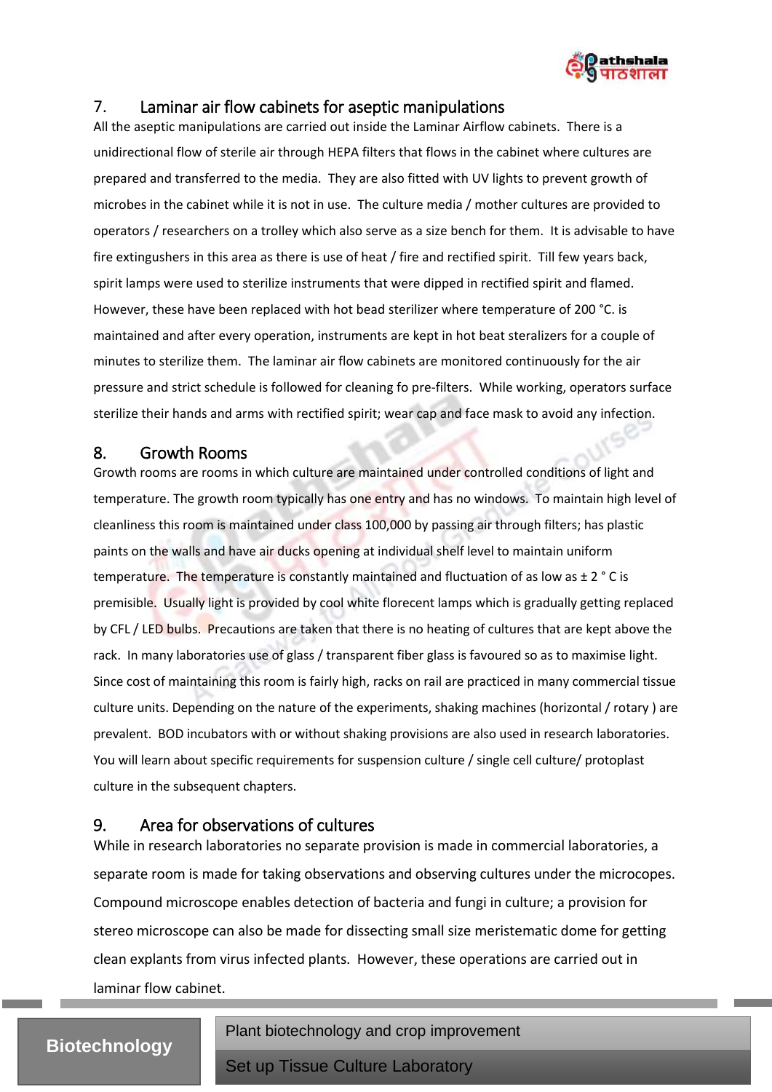

## <span id="page-7-0"></span>7. Laminar air flow cabinets for aseptic manipulations

All the aseptic manipulations are carried out inside the Laminar Airflow cabinets. There is a unidirectional flow of sterile air through HEPA filters that flows in the cabinet where cultures are prepared and transferred to the media. They are also fitted with UV lights to prevent growth of microbes in the cabinet while it is not in use. The culture media / mother cultures are provided to operators / researchers on a trolley which also serve as a size bench for them. It is advisable to have fire extingushers in this area as there is use of heat / fire and rectified spirit. Till few years back, spirit lamps were used to sterilize instruments that were dipped in rectified spirit and flamed. However, these have been replaced with hot bead sterilizer where temperature of 200 °C. is maintained and after every operation, instruments are kept in hot beat steralizers for a couple of minutes to sterilize them. The laminar air flow cabinets are monitored continuously for the air pressure and strict schedule is followed for cleaning fo pre-filters. While working, operators surface sterilize their hands and arms with rectified spirit; wear cap and face mask to avoid any infection.

#### <span id="page-7-1"></span>8. Growth Rooms

Growth rooms are rooms in which culture are maintained under controlled conditions of light and temperature. The growth room typically has one entry and has no windows. To maintain high level of cleanliness this room is maintained under class 100,000 by passing air through filters; has plastic paints on the walls and have air ducks opening at individual shelf level to maintain uniform temperature. The temperature is constantly maintained and fluctuation of as low as  $\pm 2$  ° C is premisible. Usually light is provided by cool white florecent lamps which is gradually getting replaced by CFL / LED bulbs. Precautions are taken that there is no heating of cultures that are kept above the rack. In many laboratories use of glass / transparent fiber glass is favoured so as to maximise light. Since cost of maintaining this room is fairly high, racks on rail are practiced in many commercial tissue culture units. Depending on the nature of the experiments, shaking machines (horizontal / rotary ) are prevalent. BOD incubators with or without shaking provisions are also used in research laboratories. You will learn about specific requirements for suspension culture / single cell culture/ protoplast culture in the subsequent chapters.

## <span id="page-7-2"></span>9. Area for observations of cultures

While in research laboratories no separate provision is made in commercial laboratories, a separate room is made for taking observations and observing cultures under the microcopes. Compound microscope enables detection of bacteria and fungi in culture; a provision for stereo microscope can also be made for dissecting small size meristematic dome for getting clean explants from virus infected plants. However, these operations are carried out in laminar flow cabinet.

# **Biotechnology**

Plant biotechnology and crop improvement